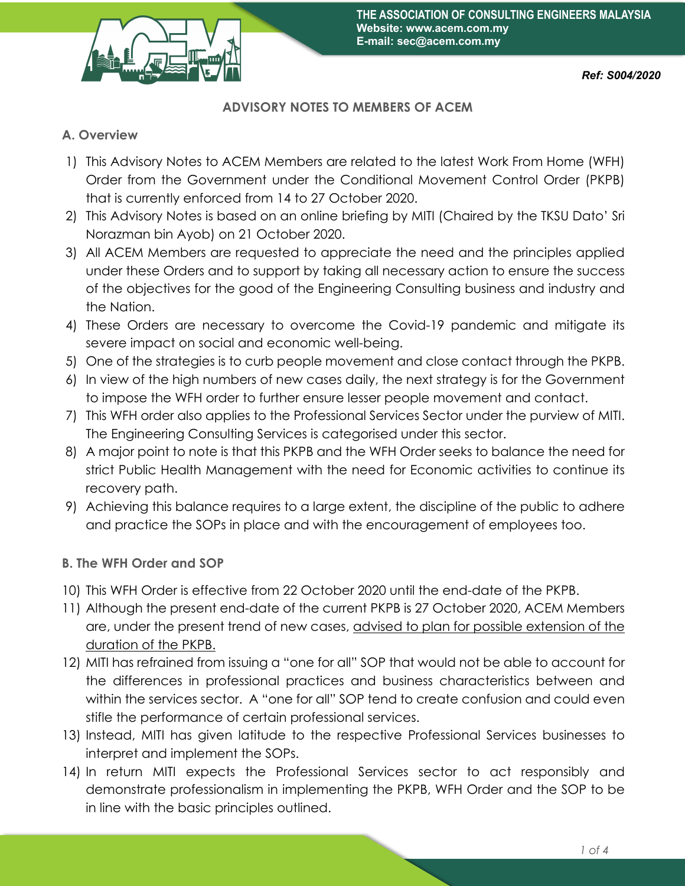

## **ADVISORY NOTES TO MEMBERS OF ACEM**

## **A. Overview**

- 1) This Advisory Notes to ACEM Members are related to the latest Work From Home (WFH) Order from the Government under the Conditional Movement Control Order (PKPB) that is currently enforced from 14 to 27 October 2020.
- 2) This Advisory Notes is based on an online briefing by MITI (Chaired by the TKSU Dato' Sri Norazman bin Ayob) on 21 October 2020.
- 3) All ACEM Members are requested to appreciate the need and the principles applied under these Orders and to support by taking all necessary action to ensure the success of the objectives for the good of the Engineering Consulting business and industry and the Nation.
- 4) These Orders are necessary to overcome the Covid-19 pandemic and mitigate its severe impact on social and economic well-being.
- 5) One of the strategies is to curb people movement and close contact through the PKPB.
- 6) In view of the high numbers of new cases daily, the next strategy is for the Government to impose the WFH order to further ensure lesser people movement and contact.
- 7) This WFH order also applies to the Professional Services Sector under the purview of MITI. The Engineering Consulting Services is categorised under this sector.
- 8) A major point to note is that this PKPB and the WFH Order seeks to balance the need for strict Public Health Management with the need for Economic activities to continue its recovery path.
- 9) Achieving this balance requires to a large extent, the discipline of the public to adhere and practice the SOPs in place and with the encouragement of employees too.

## **B. The WFH Order and SOP**

- 10) This WFH Order is effective from 22 October 2020 until the end-date of the PKPB.
- 11) Although the present end-date of the current PKPB is 27 October 2020, ACEM Members are, under the present trend of new cases, advised to plan for possible extension of the duration of the PKPB.
- 12) MITI has refrained from issuing a "one for all" SOP that would not be able to account for the differences in professional practices and business characteristics between and within the services sector. A "one for all" SOP tend to create confusion and could even stifle the performance of certain professional services.
- 13) Instead, MITI has given latitude to the respective Professional Services businesses to interpret and implement the SOPs.
- 14) In return MITI expects the Professional Services sector to act responsibly and demonstrate professionalism in implementing the PKPB, WFH Order and the SOP to be in line with the basic principles outlined.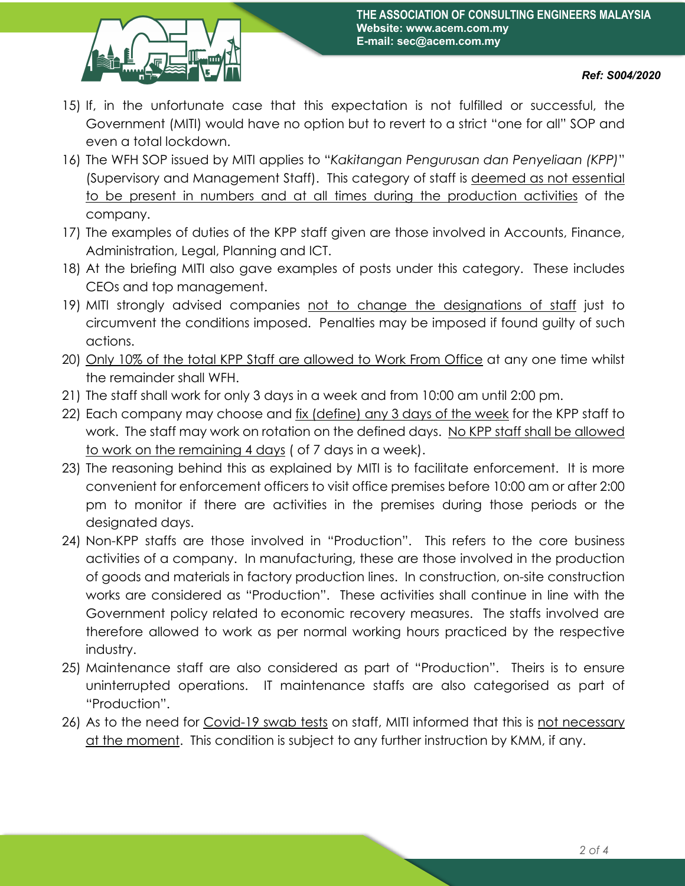

- 15) If, in the unfortunate case that this expectation is not fulfilled or successful, the Government (MITI) would have no option but to revert to a strict "one for all" SOP and even a total lockdown.
- 16) The WFH SOP issued by MITI applies to "*Kakitangan Pengurusan dan Penyeliaan (KPP)*" (Supervisory and Management Staff). This category of staff is deemed as not essential to be present in numbers and at all times during the production activities of the company.
- 17) The examples of duties of the KPP staff given are those involved in Accounts, Finance, Administration, Legal, Planning and ICT.
- 18) At the briefing MITI also gave examples of posts under this category. These includes CEOs and top management.
- 19) MITI strongly advised companies not to change the designations of staff just to circumvent the conditions imposed. Penalties may be imposed if found guilty of such actions.
- 20) Only 10% of the total KPP Staff are allowed to Work From Office at any one time whilst the remainder shall WFH.
- 21) The staff shall work for only 3 days in a week and from 10:00 am until 2:00 pm.
- 22) Each company may choose and fix (define) any 3 days of the week for the KPP staff to work. The staff may work on rotation on the defined days. No KPP staff shall be allowed to work on the remaining 4 days ( of 7 days in a week).
- 23) The reasoning behind this as explained by MITI is to facilitate enforcement. It is more convenient for enforcement officers to visit office premises before 10:00 am or after 2:00 pm to monitor if there are activities in the premises during those periods or the designated days.
- 24) Non-KPP staffs are those involved in "Production". This refers to the core business activities of a company. In manufacturing, these are those involved in the production of goods and materials in factory production lines. In construction, on-site construction works are considered as "Production". These activities shall continue in line with the Government policy related to economic recovery measures. The staffs involved are therefore allowed to work as per normal working hours practiced by the respective industry.
- 25) Maintenance staff are also considered as part of "Production". Theirs is to ensure uninterrupted operations. IT maintenance staffs are also categorised as part of "Production".
- 26) As to the need for Covid-19 swab tests on staff, MITI informed that this is not necessary at the moment. This condition is subject to any further instruction by KMM, if any.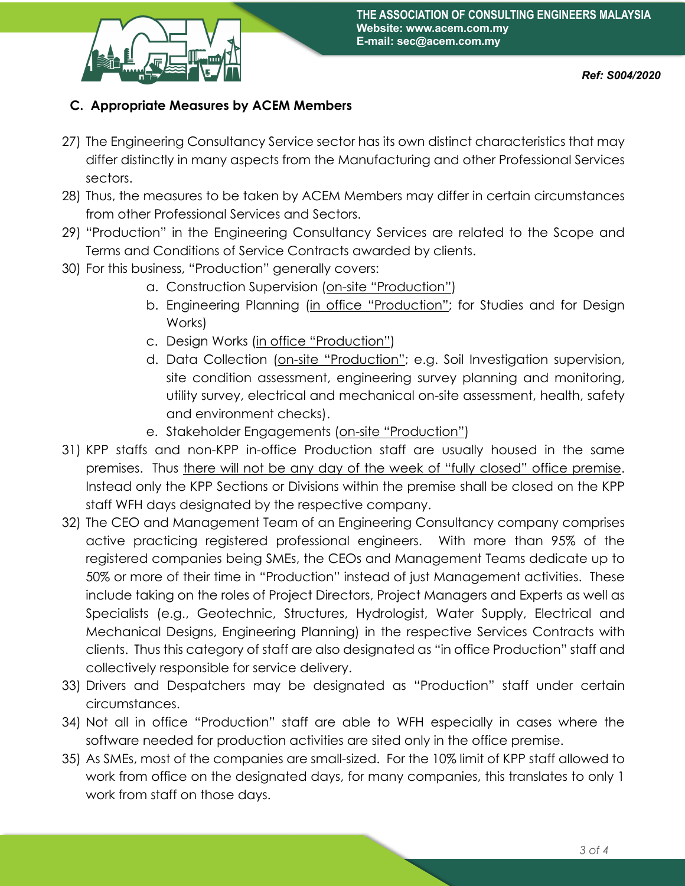

## **C. Appropriate Measures by ACEM Members**

- 27) The Engineering Consultancy Service sector has its own distinct characteristics that may differ distinctly in many aspects from the Manufacturing and other Professional Services sectors.
- 28) Thus, the measures to be taken by ACEM Members may differ in certain circumstances from other Professional Services and Sectors.
- 29) "Production" in the Engineering Consultancy Services are related to the Scope and Terms and Conditions of Service Contracts awarded by clients.
- 30) For this business, "Production" generally covers:
	- a. Construction Supervision (on-site "Production")
	- b. Engineering Planning (in office "Production"; for Studies and for Design Works)
	- c. Design Works (in office "Production")
	- d. Data Collection (on-site "Production"; e.g. Soil Investigation supervision, site condition assessment, engineering survey planning and monitoring, utility survey, electrical and mechanical on-site assessment, health, safety and environment checks).
	- e. Stakeholder Engagements (on-site "Production")
- 31) KPP staffs and non-KPP in-office Production staff are usually housed in the same premises. Thus there will not be any day of the week of "fully closed" office premise. Instead only the KPP Sections or Divisions within the premise shall be closed on the KPP staff WFH days designated by the respective company.
- 32) The CEO and Management Team of an Engineering Consultancy company comprises active practicing registered professional engineers. With more than 95% of the registered companies being SMEs, the CEOs and Management Teams dedicate up to 50% or more of their time in "Production" instead of just Management activities. These include taking on the roles of Project Directors, Project Managers and Experts as well as Specialists (e.g., Geotechnic, Structures, Hydrologist, Water Supply, Electrical and Mechanical Designs, Engineering Planning) in the respective Services Contracts with clients. Thus this category of staff are also designated as "in office Production" staff and collectively responsible for service delivery.
- 33) Drivers and Despatchers may be designated as "Production" staff under certain circumstances.
- 34) Not all in office "Production" staff are able to WFH especially in cases where the software needed for production activities are sited only in the office premise.
- 35) As SMEs, most of the companies are small-sized. For the 10% limit of KPP staff allowed to work from office on the designated days, for many companies, this translates to only 1 work from staff on those days.